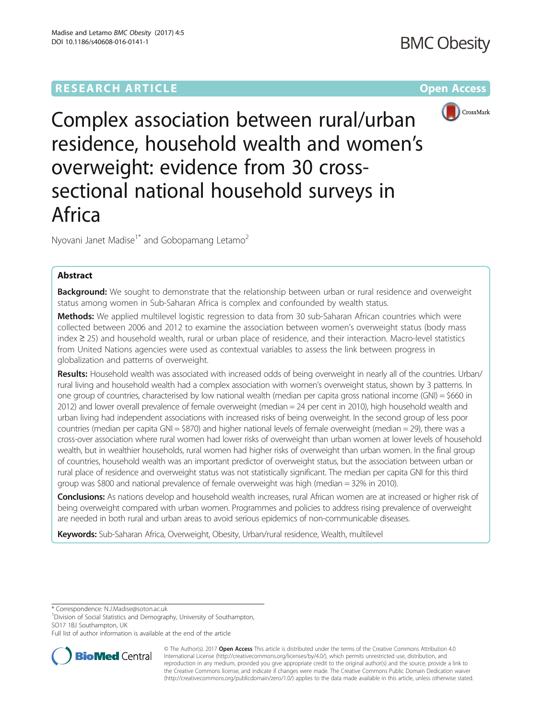

Complex association between rural/urban residence, household wealth and women's overweight: evidence from 30 crosssectional national household surveys in Africa

Nyovani Janet Madise<sup>1\*</sup> and Gobopamang Letamo<sup>2</sup>

# Abstract

**Background:** We sought to demonstrate that the relationship between urban or rural residence and overweight status among women in Sub-Saharan Africa is complex and confounded by wealth status.

Methods: We applied multilevel logistic regression to data from 30 sub-Saharan African countries which were collected between 2006 and 2012 to examine the association between women's overweight status (body mass index ≥ 25) and household wealth, rural or urban place of residence, and their interaction. Macro-level statistics from United Nations agencies were used as contextual variables to assess the link between progress in globalization and patterns of overweight.

Results: Household wealth was associated with increased odds of being overweight in nearly all of the countries. Urban/ rural living and household wealth had a complex association with women's overweight status, shown by 3 patterns. In one group of countries, characterised by low national wealth (median per capita gross national income (GNI) = \$660 in 2012) and lower overall prevalence of female overweight (median = 24 per cent in 2010), high household wealth and urban living had independent associations with increased risks of being overweight. In the second group of less poor countries (median per capita GNI = \$870) and higher national levels of female overweight (median = 29), there was a cross-over association where rural women had lower risks of overweight than urban women at lower levels of household wealth, but in wealthier households, rural women had higher risks of overweight than urban women. In the final group of countries, household wealth was an important predictor of overweight status, but the association between urban or rural place of residence and overweight status was not statistically significant. The median per capita GNI for this third group was \$800 and national prevalence of female overweight was high (median = 32% in 2010).

Conclusions: As nations develop and household wealth increases, rural African women are at increased or higher risk of being overweight compared with urban women. Programmes and policies to address rising prevalence of overweight are needed in both rural and urban areas to avoid serious epidemics of non-communicable diseases.

Keywords: Sub-Saharan Africa, Overweight, Obesity, Urban/rural residence, Wealth, multilevel

\* Correspondence: [N.J.Madise@soton.ac.uk](mailto:N.J.Madise@soton.ac.uk) <sup>1</sup>

<sup>1</sup> Division of Social Statistics and Demography, University of Southampton, SO17 1BJ Southampton, UK

Full list of author information is available at the end of the article



© The Author(s). 2017 **Open Access** This article is distributed under the terms of the Creative Commons Attribution 4.0 International License [\(http://creativecommons.org/licenses/by/4.0/](http://creativecommons.org/licenses/by/4.0/)), which permits unrestricted use, distribution, and reproduction in any medium, provided you give appropriate credit to the original author(s) and the source, provide a link to the Creative Commons license, and indicate if changes were made. The Creative Commons Public Domain Dedication waiver [\(http://creativecommons.org/publicdomain/zero/1.0/](http://creativecommons.org/publicdomain/zero/1.0/)) applies to the data made available in this article, unless otherwise stated.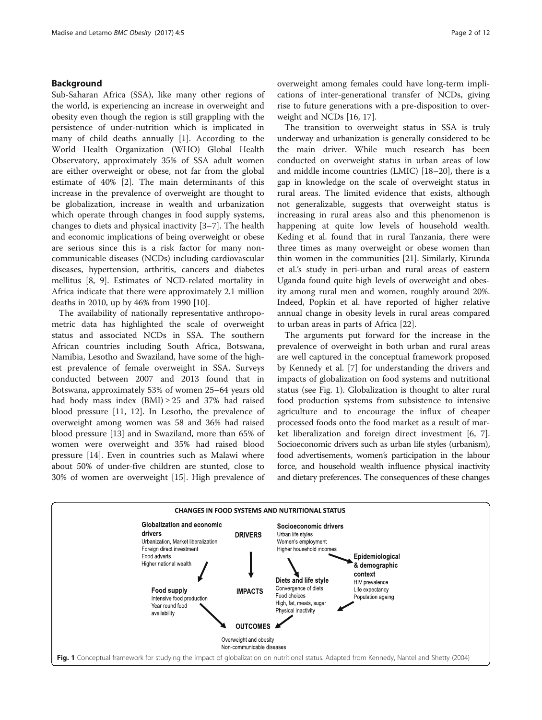## <span id="page-1-0"></span>Background

Sub-Saharan Africa (SSA), like many other regions of the world, is experiencing an increase in overweight and obesity even though the region is still grappling with the persistence of under-nutrition which is implicated in many of child deaths annually [[1\]](#page-10-0). According to the World Health Organization (WHO) Global Health Observatory, approximately 35% of SSA adult women are either overweight or obese, not far from the global estimate of 40% [[2\]](#page-10-0). The main determinants of this increase in the prevalence of overweight are thought to be globalization, increase in wealth and urbanization which operate through changes in food supply systems, changes to diets and physical inactivity [\[3](#page-10-0)–[7](#page-10-0)]. The health and economic implications of being overweight or obese are serious since this is a risk factor for many noncommunicable diseases (NCDs) including cardiovascular diseases, hypertension, arthritis, cancers and diabetes mellitus [[8](#page-10-0), [9\]](#page-10-0). Estimates of NCD-related mortality in Africa indicate that there were approximately 2.1 million deaths in 2010, up by 46% from 1990 [[10](#page-10-0)].

The availability of nationally representative anthropometric data has highlighted the scale of overweight status and associated NCDs in SSA. The southern African countries including South Africa, Botswana, Namibia, Lesotho and Swaziland, have some of the highest prevalence of female overweight in SSA. Surveys conducted between 2007 and 2013 found that in Botswana, approximately 53% of women 25–64 years old had body mass index (BMI)  $\geq$  25 and 37% had raised blood pressure [[11, 12\]](#page-10-0). In Lesotho, the prevalence of overweight among women was 58 and 36% had raised blood pressure [[13\]](#page-10-0) and in Swaziland, more than 65% of women were overweight and 35% had raised blood pressure [\[14](#page-10-0)]. Even in countries such as Malawi where about 50% of under-five children are stunted, close to 30% of women are overweight [[15\]](#page-10-0). High prevalence of overweight among females could have long-term implications of inter-generational transfer of NCDs, giving rise to future generations with a pre-disposition to overweight and NCDs [[16, 17\]](#page-10-0).

The transition to overweight status in SSA is truly underway and urbanization is generally considered to be the main driver. While much research has been conducted on overweight status in urban areas of low and middle income countries (LMIC) [\[18](#page-10-0)–[20\]](#page-10-0), there is a gap in knowledge on the scale of overweight status in rural areas. The limited evidence that exists, although not generalizable, suggests that overweight status is increasing in rural areas also and this phenomenon is happening at quite low levels of household wealth. Keding et al. found that in rural Tanzania, there were three times as many overweight or obese women than thin women in the communities [\[21](#page-10-0)]. Similarly, Kirunda et al.'s study in peri-urban and rural areas of eastern Uganda found quite high levels of overweight and obesity among rural men and women, roughly around 20%. Indeed, Popkin et al. have reported of higher relative annual change in obesity levels in rural areas compared to urban areas in parts of Africa [[22](#page-10-0)].

The arguments put forward for the increase in the prevalence of overweight in both urban and rural areas are well captured in the conceptual framework proposed by Kennedy et al. [\[7](#page-10-0)] for understanding the drivers and impacts of globalization on food systems and nutritional status (see Fig. 1). Globalization is thought to alter rural food production systems from subsistence to intensive agriculture and to encourage the influx of cheaper processed foods onto the food market as a result of market liberalization and foreign direct investment [\[6](#page-10-0), [7](#page-10-0)]. Socioeconomic drivers such as urban life styles (urbanism), food advertisements, women's participation in the labour force, and household wealth influence physical inactivity and dietary preferences. The consequences of these changes

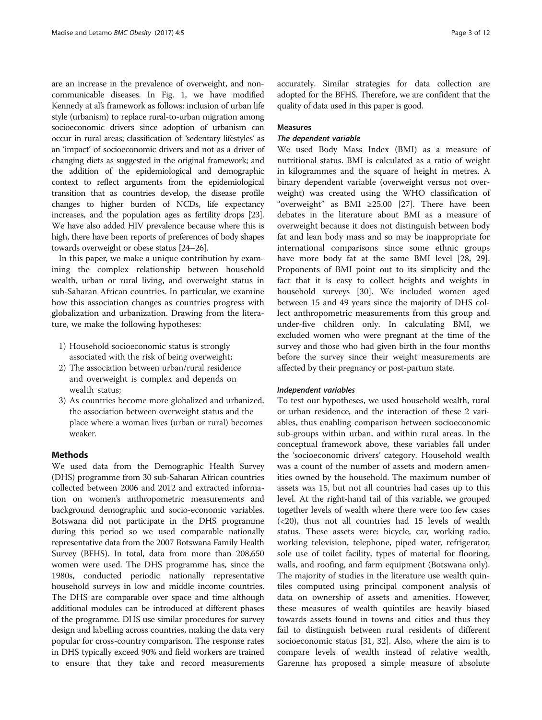are an increase in the prevalence of overweight, and noncommunicable diseases. In Fig. [1](#page-1-0), we have modified Kennedy at al's framework as follows: inclusion of urban life style (urbanism) to replace rural-to-urban migration among socioeconomic drivers since adoption of urbanism can occur in rural areas; classification of 'sedentary lifestyles' as an 'impact' of socioeconomic drivers and not as a driver of changing diets as suggested in the original framework; and the addition of the epidemiological and demographic context to reflect arguments from the epidemiological transition that as countries develop, the disease profile changes to higher burden of NCDs, life expectancy increases, and the population ages as fertility drops [\[23](#page-10-0)]. We have also added HIV prevalence because where this is high, there have been reports of preferences of body shapes towards overweight or obese status [\[24](#page-10-0)–[26\]](#page-10-0).

In this paper, we make a unique contribution by examining the complex relationship between household wealth, urban or rural living, and overweight status in sub-Saharan African countries. In particular, we examine how this association changes as countries progress with globalization and urbanization. Drawing from the literature, we make the following hypotheses:

- 1) Household socioeconomic status is strongly associated with the risk of being overweight;
- 2) The association between urban/rural residence and overweight is complex and depends on wealth status;
- 3) As countries become more globalized and urbanized, the association between overweight status and the place where a woman lives (urban or rural) becomes weaker.

## **Methods**

We used data from the Demographic Health Survey (DHS) programme from 30 sub-Saharan African countries collected between 2006 and 2012 and extracted information on women's anthropometric measurements and background demographic and socio-economic variables. Botswana did not participate in the DHS programme during this period so we used comparable nationally representative data from the 2007 Botswana Family Health Survey (BFHS). In total, data from more than 208,650 women were used. The DHS programme has, since the 1980s, conducted periodic nationally representative household surveys in low and middle income countries. The DHS are comparable over space and time although additional modules can be introduced at different phases of the programme. DHS use similar procedures for survey design and labelling across countries, making the data very popular for cross-country comparison. The response rates in DHS typically exceed 90% and field workers are trained to ensure that they take and record measurements accurately. Similar strategies for data collection are adopted for the BFHS. Therefore, we are confident that the quality of data used in this paper is good.

## Measures

## The dependent variable

We used Body Mass Index (BMI) as a measure of nutritional status. BMI is calculated as a ratio of weight in kilogrammes and the square of height in metres. A binary dependent variable (overweight versus not overweight) was created using the WHO classification of "overweight" as BMI  $\geq 25.00$  [[27\]](#page-10-0). There have been debates in the literature about BMI as a measure of overweight because it does not distinguish between body fat and lean body mass and so may be inappropriate for international comparisons since some ethnic groups have more body fat at the same BMI level [[28, 29](#page-10-0)]. Proponents of BMI point out to its simplicity and the fact that it is easy to collect heights and weights in household surveys [\[30](#page-11-0)]. We included women aged between 15 and 49 years since the majority of DHS collect anthropometric measurements from this group and under-five children only. In calculating BMI, we excluded women who were pregnant at the time of the survey and those who had given birth in the four months before the survey since their weight measurements are affected by their pregnancy or post-partum state.

## Independent variables

To test our hypotheses, we used household wealth, rural or urban residence, and the interaction of these 2 variables, thus enabling comparison between socioeconomic sub-groups within urban, and within rural areas. In the conceptual framework above, these variables fall under the 'socioeconomic drivers' category. Household wealth was a count of the number of assets and modern amenities owned by the household. The maximum number of assets was 15, but not all countries had cases up to this level. At the right-hand tail of this variable, we grouped together levels of wealth where there were too few cases (<20), thus not all countries had 15 levels of wealth status. These assets were: bicycle, car, working radio, working television, telephone, piped water, refrigerator, sole use of toilet facility, types of material for flooring, walls, and roofing, and farm equipment (Botswana only). The majority of studies in the literature use wealth quintiles computed using principal component analysis of data on ownership of assets and amenities. However, these measures of wealth quintiles are heavily biased towards assets found in towns and cities and thus they fail to distinguish between rural residents of different socioeconomic status [\[31, 32](#page-11-0)]. Also, where the aim is to compare levels of wealth instead of relative wealth, Garenne has proposed a simple measure of absolute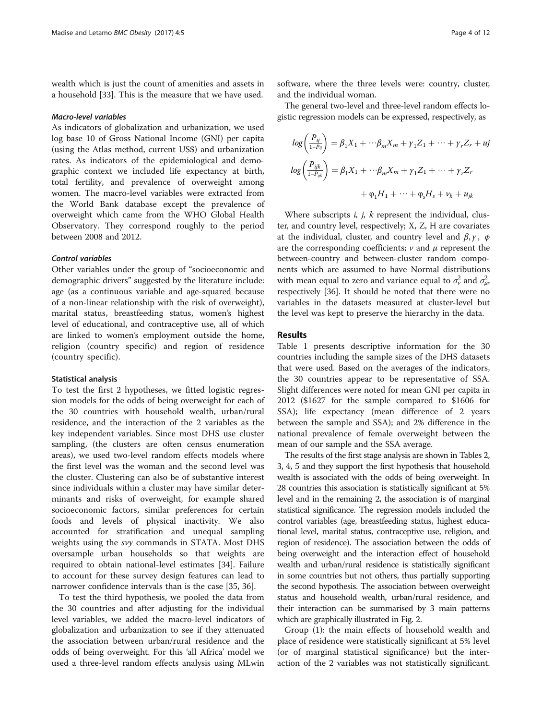wealth which is just the count of amenities and assets in a household [\[33](#page-11-0)]. This is the measure that we have used.

#### Macro-level variables

As indicators of globalization and urbanization, we used log base 10 of Gross National Income (GNI) per capita (using the Atlas method, current US\$) and urbanization rates. As indicators of the epidemiological and demographic context we included life expectancy at birth, total fertility, and prevalence of overweight among women. The macro-level variables were extracted from the World Bank database except the prevalence of overweight which came from the WHO Global Health Observatory. They correspond roughly to the period between 2008 and 2012.

## Control variables

Other variables under the group of "socioeconomic and demographic drivers" suggested by the literature include: age (as a continuous variable and age-squared because of a non-linear relationship with the risk of overweight), marital status, breastfeeding status, women's highest level of educational, and contraceptive use, all of which are linked to women's employment outside the home, religion (country specific) and region of residence (country specific).

### Statistical analysis

To test the first 2 hypotheses, we fitted logistic regression models for the odds of being overweight for each of the 30 countries with household wealth, urban/rural residence, and the interaction of the 2 variables as the key independent variables. Since most DHS use cluster sampling, (the clusters are often census enumeration areas), we used two-level random effects models where the first level was the woman and the second level was the cluster. Clustering can also be of substantive interest since individuals within a cluster may have similar determinants and risks of overweight, for example shared socioeconomic factors, similar preferences for certain foods and levels of physical inactivity. We also accounted for stratification and unequal sampling weights using the svy commands in STATA. Most DHS oversample urban households so that weights are required to obtain national-level estimates [\[34\]](#page-11-0). Failure to account for these survey design features can lead to narrower confidence intervals than is the case [\[35](#page-11-0), [36](#page-11-0)].

To test the third hypothesis, we pooled the data from the 30 countries and after adjusting for the individual level variables, we added the macro-level indicators of globalization and urbanization to see if they attenuated the association between urban/rural residence and the odds of being overweight. For this 'all Africa' model we used a three-level random effects analysis using MLwin

software, where the three levels were: country, cluster, and the individual woman.

The general two-level and three-level random effects logistic regression models can be expressed, respectively, as

$$
log\left(\frac{P_{ij}}{1-P_{ij}}\right) = \beta_1 X_1 + \cdots + \beta_m X_m + \gamma_1 Z_1 + \cdots + \gamma_r Z_r + uj
$$

$$
log\left(\frac{P_{ijk}}{1-P_{ijk}}\right) = \beta_1 X_1 + \cdots + \beta_m X_m + \gamma_1 Z_1 + \cdots + \gamma_r Z_r
$$

$$
+ \varphi_1 H_1 + \cdots + \varphi_s H_s + \nu_k + u_{jk}
$$

Where subscripts  $i$ ,  $j$ ,  $k$  represent the individual, cluster, and country level, respectively; X, Z, H are covariates at the individual, cluster, and country level and  $\beta$ ,  $\gamma$ ,  $\phi$ are the corresponding coefficients;  $\nu$  and  $\mu$  represent the between-country and between-cluster random components which are assumed to have Normal distributions with mean equal to zero and variance equal to  $\sigma_{\nu}^2$  and  $\sigma_{\mu}^2$ <br>recpectively [26]. It should be noted that there were no respectively [\[36](#page-11-0)]. It should be noted that there were no variables in the datasets measured at cluster-level but the level was kept to preserve the hierarchy in the data.

## Results

Table [1](#page-4-0) presents descriptive information for the 30 countries including the sample sizes of the DHS datasets that were used. Based on the averages of the indicators, the 30 countries appear to be representative of SSA. Slight differences were noted for mean GNI per capita in 2012 (\$1627 for the sample compared to \$1606 for SSA); life expectancy (mean difference of 2 years between the sample and SSA); and 2% difference in the national prevalence of female overweight between the mean of our sample and the SSA average.

The results of the first stage analysis are shown in Tables [2](#page-5-0), [3](#page-5-0), [4](#page-6-0), [5](#page-6-0) and they support the first hypothesis that household wealth is associated with the odds of being overweight. In 28 countries this association is statistically significant at 5% level and in the remaining 2, the association is of marginal statistical significance. The regression models included the control variables (age, breastfeeding status, highest educational level, marital status, contraceptive use, religion, and region of residence). The association between the odds of being overweight and the interaction effect of household wealth and urban/rural residence is statistically significant in some countries but not others, thus partially supporting the second hypothesis. The association between overweight status and household wealth, urban/rural residence, and their interaction can be summarised by 3 main patterns which are graphically illustrated in Fig. [2.](#page-7-0)

Group (1): the main effects of household wealth and place of residence were statistically significant at 5% level (or of marginal statistical significance) but the interaction of the 2 variables was not statistically significant.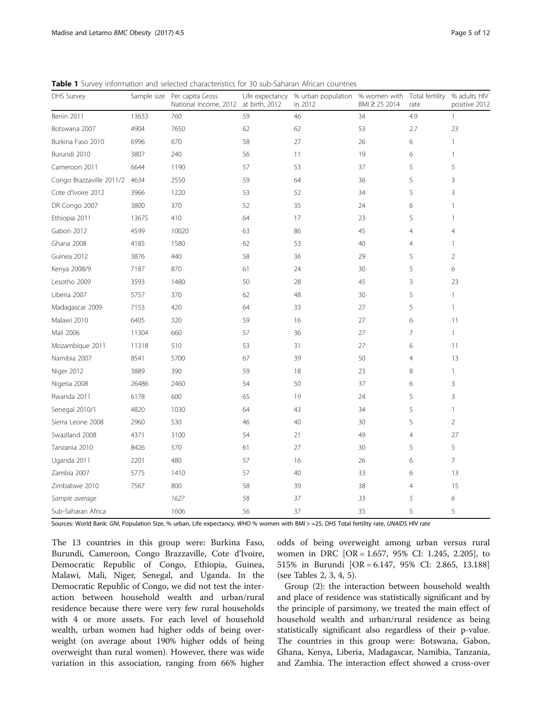<span id="page-4-0"></span>Table 1 Survey information and selected characteristics for 30 sub-Saharan African countries

| DHS Survey               | Sample size | Per capita Gross<br>National Income, 2012 | Life expectancy<br>at birth, 2012 | % urban population<br>in 2012 | % women with<br>BMI ≥ 25 2014 | Total fertility<br>rate | % adults HIV<br>positive 2012 |
|--------------------------|-------------|-------------------------------------------|-----------------------------------|-------------------------------|-------------------------------|-------------------------|-------------------------------|
| Benin 2011               | 13633       | 760                                       | 59                                | 46                            | 34                            | 4.9                     | $\mathbf{1}$                  |
| Botswana 2007            | 4904        | 7650                                      | 62                                | 62                            | 53                            | 2.7                     | 23                            |
| Burkina Faso 2010        | 6996        | 670                                       | 58                                | 27                            | 26                            | 6                       | $\mathbf{1}$                  |
| Burundi 2010             | 3807        | 240                                       | 56                                | 11                            | 19                            | 6                       | $\mathbf{1}$                  |
| Cameroon 2011            | 6644        | 1190                                      | 57                                | 53                            | 37                            | 5                       | 5                             |
| Congo Brazzaville 2011/2 | 4634        | 2550                                      | 59                                | 64                            | 36                            | 5                       | 3                             |
| Cote d'Ivoire 2012       | 3966        | 1220                                      | 53                                | 52                            | 34                            | 5                       | 3                             |
| DR Congo 2007            | 3800        | 370                                       | 52                                | 35                            | 24                            | 6                       | $\mathbf{1}$                  |
| Ethiopia 2011            | 13675       | 410                                       | 64                                | 17                            | 23                            | 5                       | $\mathbf{1}$                  |
| Gabon 2012               | 4599        | 10020                                     | 63                                | 86                            | 45                            | $\overline{4}$          | 4                             |
| Ghana 2008               | 4185        | 1580                                      | 62                                | 53                            | 40                            | 4                       | $\mathbf{1}$                  |
| Guinea 2012              | 3876        | 440                                       | 58                                | 36                            | 29                            | 5                       | $\overline{2}$                |
| Kenya 2008/9             | 7187        | 870                                       | 61                                | 24                            | 30                            | 5                       | 6                             |
| Lesotho 2009             | 3593        | 1480                                      | 50                                | 28                            | 45                            | 3                       | 23                            |
| Liberia 2007             | 5757        | 370                                       | 62                                | 48                            | 30                            | 5                       | $\mathbf{1}$                  |
| Madagascar 2009          | 7153        | 420                                       | 64                                | 33                            | 27                            | 5                       | $\mathbf{1}$                  |
| Malawi 2010              | 6405        | 320                                       | 59                                | 16                            | 27                            | 6                       | 11                            |
| Mali 2006                | 11304       | 660                                       | 57                                | 36                            | 27                            | 7                       | $\mathbf{1}$                  |
| Mozambique 2011          | 11318       | 510                                       | 53                                | 31                            | 27                            | 6                       | 11                            |
| Namibia 2007             | 8541        | 5700                                      | 67                                | 39                            | 50                            | $\overline{4}$          | 13                            |
| Niger 2012               | 3889        | 390                                       | 59                                | 18                            | 23                            | 8                       | $\mathbf{1}$                  |
| Nigeria 2008             | 26486       | 2460                                      | 54                                | 50                            | 37                            | 6                       | 3                             |
| Rwanda 2011              | 6178        | 600                                       | 65                                | 19                            | 24                            | 5                       | 3                             |
| Senegal 2010/1           | 4820        | 1030                                      | 64                                | 43                            | 34                            | 5                       | $\mathbf{1}$                  |
| Sierra Leone 2008        | 2960        | 530                                       | 46                                | 40                            | 30                            | 5                       | $\overline{2}$                |
| Swaziland 2008           | 4371        | 3100                                      | 54                                | 21                            | 49                            | $\overline{4}$          | 27                            |
| Tanzania 2010            | 8426        | 570                                       | 61                                | 27                            | 30                            | 5                       | 5                             |
| Uganda 2011              | 2201        | 480                                       | 57                                | 16                            | 26                            | 6                       | $\overline{7}$                |
| Zambia 2007              | 5775        | 1410                                      | 57                                | 40                            | 33                            | 6                       | 13                            |
| Zimbabwe 2010            | 7567        | 800                                       | 58                                | 39                            | 38                            | $\overline{4}$          | 15                            |
| Sample average           |             | 1627                                      | 58                                | 37                            | 33                            | 5                       | 6                             |
| Sub-Saharan Africa       |             | 1606                                      | 56                                | 37                            | 35                            | 5                       | 5                             |

Sources: World Bank: GNI, Population Size, % urban, Life expectancy, WHO % women with BMI > =25, DHS Total fertility rate, UNAIDS HIV rate

The 13 countries in this group were: Burkina Faso, Burundi, Cameroon, Congo Brazzaville, Cote d'Ivoire, Democratic Republic of Congo, Ethiopia, Guinea, Malawi, Mali, Niger, Senegal, and Uganda. In the Democratic Republic of Congo, we did not test the interaction between household wealth and urban/rural residence because there were very few rural households with 4 or more assets. For each level of household wealth, urban women had higher odds of being overweight (on average about 190% higher odds of being overweight than rural women). However, there was wide variation in this association, ranging from 66% higher

odds of being overweight among urban versus rural women in DRC [OR = 1.657, 95% CI: 1.245, 2.205], to 515% in Burundi [OR = 6.147, 95% CI: 2.865, 13.188] (see Tables [2, 3,](#page-5-0) [4, 5\)](#page-6-0).

Group (2): the interaction between household wealth and place of residence was statistically significant and by the principle of parsimony, we treated the main effect of household wealth and urban/rural residence as being statistically significant also regardless of their p-value. The countries in this group were: Botswana, Gabon, Ghana, Kenya, Liberia, Madagascar, Namibia, Tanzania, and Zambia. The interaction effect showed a cross-over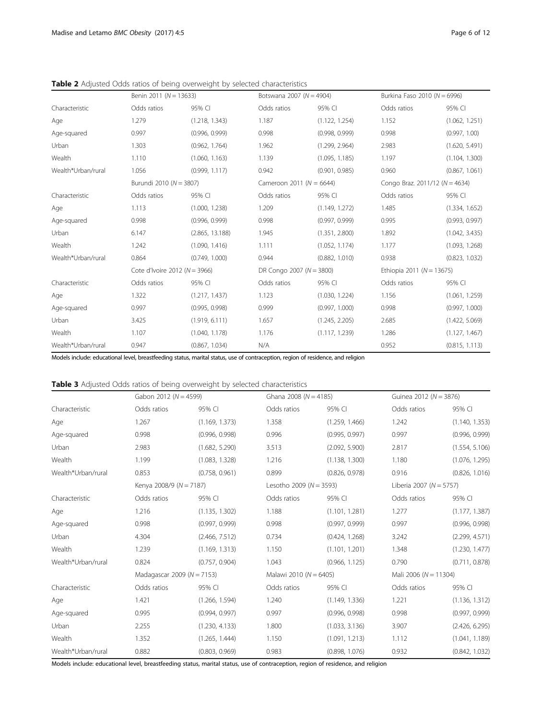<span id="page-5-0"></span>

|  | <b>Table 2</b> Adjusted Odds ratios of being overweight by selected characteristics |  |  |  |  |
|--|-------------------------------------------------------------------------------------|--|--|--|--|
|--|-------------------------------------------------------------------------------------|--|--|--|--|

|                    | Benin 2011 ( $N = 13633$ ) |                               | Botswana 2007 (N = 4904) |                              | Burkina Faso 2010 (N = 6996) |                                    |  |
|--------------------|----------------------------|-------------------------------|--------------------------|------------------------------|------------------------------|------------------------------------|--|
| Characteristic     | Odds ratios                | 95% CI                        | Odds ratios              | 95% CI                       | Odds ratios                  | 95% CI                             |  |
| Age                | 1.279                      | (1.218, 1.343)                | 1.187                    | (1.122, 1.254)               | 1.152                        | (1.062, 1.251)                     |  |
| Age-squared        | 0.997                      | (0.996, 0.999)                | 0.998                    | (0.998, 0.999)               | 0.998                        | (0.997, 1.00)                      |  |
| Urban              | 1.303                      | (0.962, 1.764)                | 1.962                    | (1.299, 2.964)               | 2.983                        | (1.620, 5.491)                     |  |
| Wealth             | 1.110                      | (1.060, 1.163)                | 1.139                    | (1.095, 1.185)               | 1.197                        | (1.104, 1.300)                     |  |
| Wealth*Urban/rural | 1.056                      | (0.999, 1.117)                | 0.942                    | (0.901, 0.985)               | 0.960                        | (0.867, 1.061)                     |  |
|                    |                            | Burundi 2010 (N = 3807)       |                          | Cameroon 2011 ( $N = 6644$ ) |                              | Congo Braz. 2011/12 ( $N = 4634$ ) |  |
| Characteristic     | Odds ratios                | 95% CI                        | Odds ratios              | 95% CI                       | Odds ratios                  | 95% CI                             |  |
| Age                | 1.113                      | (1.000, 1.238)                | 1.209                    | (1.149, 1.272)               | 1.485                        | (1.334, 1.652)                     |  |
| Age-squared        | 0.998                      | (0.996, 0.999)                | 0.998                    | (0.997, 0.999)               | 0.995                        | (0.993, 0.997)                     |  |
| Urban              | 6.147                      | (2.865, 13.188)               | 1.945                    | (1.351, 2.800)               | 1.892                        | (1.042, 3.435)                     |  |
| Wealth             | 1.242                      | (1.090, 1.416)                | 1.111                    | (1.052, 1.174)               | 1.177                        | (1.093, 1.268)                     |  |
| Wealth*Urban/rural | 0.864                      | (0.749, 1.000)                | 0.944                    | (0.882, 1.010)               | 0.938                        | (0.823, 1.032)                     |  |
|                    |                            | Cote d'Ivoire 2012 (N = 3966) |                          | DR Congo 2007 (N = 3800)     |                              | Ethiopia 2011 ( $N = 13675$ )      |  |
| Characteristic     | Odds ratios                | 95% CI                        | Odds ratios              | 95% CI                       | Odds ratios                  | 95% CI                             |  |
| Age                | 1.322                      | (1.217, 1.437)                | 1.123                    | (1.030, 1.224)               | 1.156                        | (1.061, 1.259)                     |  |
| Age-squared        | 0.997                      | (0.995, 0.998)                | 0.999                    | (0.997, 1.000)               | 0.998                        | (0.997, 1.000)                     |  |
| Urban              | 3.425                      | (1.919, 6.111)                | 1.657                    | (1.245, 2.205)               | 2.685                        | (1.422, 5.069)                     |  |
| Wealth             | 1.107                      | (1.040, 1.178)                | 1.176                    | (1.117, 1.239)               | 1.286                        | (1.127, 1.467)                     |  |
| Wealth*Urban/rural | 0.947                      | (0.867, 1.034)                | N/A                      |                              | 0.952                        | (0.815, 1.113)                     |  |

Models include: educational level, breastfeeding status, marital status, use of contraception, region of residence, and religion

|                    | Gabon 2012 ( $N = 4599$ ) |                                | Ghana 2008 ( $N = 4185$ )   |                        |                             | Guinea 2012 (N = 3876)    |  |
|--------------------|---------------------------|--------------------------------|-----------------------------|------------------------|-----------------------------|---------------------------|--|
| Characteristic     | Odds ratios               | 95% CI                         | Odds ratios                 | 95% CI                 | Odds ratios                 | 95% CI                    |  |
| Age                | 1.267                     | (1.169, 1.373)                 | 1.358                       | (1.259, 1.466)         | 1.242                       | (1.140, 1.353)            |  |
| Age-squared        | 0.998                     | (0.996, 0.998)                 | 0.996                       | (0.995, 0.997)         | 0.997                       | (0.996, 0.999)            |  |
| Urban              | 2.983                     | (1.682, 5.290)                 | 3.513                       | (2.092, 5.900)         | 2.817                       | (1.554, 5.106)            |  |
| Wealth             | 1.199                     | (1.083, 1.328)                 | 1.216                       | (1.138, 1.300)         | 1.180                       | (1.076, 1.295)            |  |
| Wealth*Urban/rural | 0.853                     | (0.758, 0.961)                 | 0.899                       | (0.826, 0.978)         | 0.916                       | (0.826, 1.016)            |  |
|                    | Kenya 2008/9 (N = 7187)   |                                | Lesotho 2009 ( $N = 3593$ ) |                        | Liberia 2007 ( $N = 5757$ ) |                           |  |
| Characteristic     | Odds ratios               | 95% CI                         | Odds ratios                 | 95% CI                 | Odds ratios                 | 95% CI                    |  |
| Age                | 1.216                     | (1.135, 1.302)                 | 1.188                       | (1.101, 1.281)         | 1.277                       | (1.177, 1.387)            |  |
| Age-squared        | 0.998                     | (0.997, 0.999)                 | 0.998                       | (0.997, 0.999)         | 0.997                       | (0.996, 0.998)            |  |
| Urban              | 4.304                     | (2.466, 7.512)                 | 0.734                       | (0.424, 1.268)         | 3.242                       | (2.299, 4.571)            |  |
| Wealth             | 1.239                     | (1.169, 1.313)                 | 1.150                       | (1.101, 1.201)         | 1.348                       | (1.230, 1.477)            |  |
| Wealth*Urban/rural | 0.824                     | (0.757, 0.904)                 | 1.043                       | (0.966, 1.125)         | 0.790                       | (0.711, 0.878)            |  |
|                    |                           | Madagascar 2009 ( $N = 7153$ ) |                             | Malawi 2010 (N = 6405) |                             | Mali 2006 ( $N = 11304$ ) |  |
| Characteristic     | Odds ratios               | 95% CI                         | Odds ratios                 | 95% CI                 | Odds ratios                 | 95% CI                    |  |
| Age                | 1.421                     | (1.266, 1.594)                 | 1.240                       | (1.149, 1.336)         | 1.221                       | (1.136, 1.312)            |  |
| Age-squared        | 0.995                     | (0.994, 0.997)                 | 0.997                       | (0.996, 0.998)         | 0.998                       | (0.997, 0.999)            |  |
| Urban              | 2.255                     | (1.230, 4.133)                 | 1.800                       | (1.033, 3.136)         | 3.907                       | (2.426, 6.295)            |  |
| Wealth             | 1.352                     | (1.265, 1.444)                 | 1.150                       | (1.091, 1.213)         | 1.112                       | (1.041, 1.189)            |  |
| Wealth*Urban/rural | 0.882                     | (0.803, 0.969)                 | 0.983                       | (0.898, 1.076)         | 0.932                       | (0.842, 1.032)            |  |

Models include: educational level, breastfeeding status, marital status, use of contraception, region of residence, and religion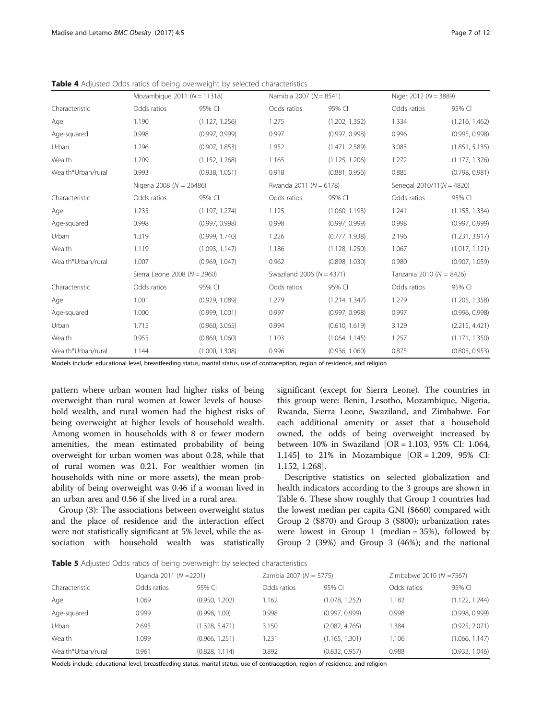|                    | Mozambique 2011 ( $N = 11318$ ) |                              | Namibia 2007 ( $N = 8541$ ) |                               |                           | Niger 2012 (N = 3889)        |  |
|--------------------|---------------------------------|------------------------------|-----------------------------|-------------------------------|---------------------------|------------------------------|--|
| Characteristic     | Odds ratios                     | 95% CI                       | Odds ratios                 | 95% CI                        | Odds ratios               | 95% CI                       |  |
| Age                | 1.190                           | (1.127, 1.256)               | 1.275                       | (1.202, 1.352)                | 1.334                     | (1.216, 1.462)               |  |
| Age-squared        | 0.998                           | (0.997, 0.999)               | 0.997                       | (0.997, 0.998)                | 0.996                     | (0.995, 0.998)               |  |
| Urban              | 1.296                           | (0.907, 1.853)               | 1.952                       | (1.471, 2.589)                | 3.083                     | (1.851, 5.135)               |  |
| Wealth             | 1.209                           | (1.152, 1.268)               | 1.165                       | (1.125, 1.206)                | 1.272                     | (1.177, 1.376)               |  |
| Wealth*Urban/rural | 0.993                           | (0.938, 1.051)               | 0.918                       | (0.881, 0.956)                | 0.885                     | (0.798, 0.981)               |  |
|                    |                                 | Nigeria 2008 ( $N = 26486$ ) |                             | Rwanda 2011 (N = 6178)        | Senegal 2010/11(N = 4820) |                              |  |
| Characteristic     | Odds ratios                     | 95% CI                       | Odds ratios                 | 95% CI                        | Odds ratios               | 95% CI                       |  |
| Age                | 1.235                           | (1.197, 1.274)               | 1.125                       | (1.060, 1.193)                | 1.241                     | (1.155, 1.334)               |  |
| Age-squared        | 0.998                           | (0.997, 0.998)               | 0.998                       | (0.997, 0.999)                | 0.998                     | (0.997, 0.999)               |  |
| Urban              | 1.319                           | (0.999, 1.740)               | 1.226                       | (0.777, 1.938)                | 2.196                     | (1.231, 3.917)               |  |
| Wealth             | 1.119                           | (1.093, 1.147)               | 1.186                       | (1.128, 1.250)                | 1.067                     | (1.017, 1.121)               |  |
| Wealth*Urban/rural | 1.007                           | (0.969, 1.047)               | 0.962                       | (0.898, 1.030)                | 0.980                     | (0.907, 1.059)               |  |
|                    |                                 | Sierra Leone 2008 (N = 2960) |                             | Swaziland 2006 ( $N = 4371$ ) |                           | Tanzania 2010 ( $N = 8426$ ) |  |
| Characteristic     | Odds ratios                     | 95% CI                       | Odds ratios                 | 95% CI                        | Odds ratios               | 95% CI                       |  |
| Age                | 1.001                           | (0.929, 1.089)               | 1.279                       | (1.214, 1.347)                | 1.279                     | (1.205, 1.358)               |  |
| Age-squared        | 1.000                           | (0.999, 1.001)               | 0.997                       | (0.997, 0.998)                | 0.997                     | (0.996, 0.998)               |  |
| Urban              | 1.715                           | (0.960, 3.065)               | 0.994                       | (0.610, 1.619)                | 3.129                     | (2.215, 4.421)               |  |
| Wealth             | 0.955                           | (0.860, 1.060)               | 1.103                       | (1.064, 1.145)                | 1.257                     | (1.171, 1.350)               |  |
| Wealth*Urban/rural | 1.144                           | (1.000, 1.308)               | 0.996                       | (0.936, 1.060)                | 0.875                     | (0.803, 0.953)               |  |

<span id="page-6-0"></span>Table 4 Adjusted Odds ratios of being overweight by selected characteristics

Models include: educational level, breastfeeding status, marital status, use of contraception, region of residence, and religion

pattern where urban women had higher risks of being overweight than rural women at lower levels of household wealth, and rural women had the highest risks of being overweight at higher levels of household wealth. Among women in households with 8 or fewer modern amenities, the mean estimated probability of being overweight for urban women was about 0.28, while that of rural women was 0.21. For wealthier women (in households with nine or more assets), the mean probability of being overweight was 0.46 if a woman lived in an urban area and 0.56 if she lived in a rural area.

Group (3): The associations between overweight status and the place of residence and the interaction effect were not statistically significant at 5% level, while the association with household wealth was statistically significant (except for Sierra Leone). The countries in this group were: Benin, Lesotho, Mozambique, Nigeria, Rwanda, Sierra Leone, Swaziland, and Zimbabwe. For each additional amenity or asset that a household owned, the odds of being overweight increased by between 10% in Swaziland [OR = 1.103, 95% CI: 1.064, 1.145] to 21% in Mozambique [OR = 1.209, 95% CI: 1.152, 1.268].

Descriptive statistics on selected globalization and health indicators according to the 3 groups are shown in Table [6.](#page-8-0) These show roughly that Group 1 countries had the lowest median per capita GNI (\$660) compared with Group 2 (\$870) and Group 3 (\$800); urbanization rates were lowest in Group 1 (median  $= 35\%$ ), followed by Group 2 (39%) and Group 3 (46%); and the national

**Table 5** Adjusted Odds ratios of being overweight by selected characteristics

|                    | Uganda 2011 ( $N = 2201$ ) |                | Zambia 2007 (N = 5775) |                |             | Zimbabwe 2010 (N =7567) |  |  |  |
|--------------------|----------------------------|----------------|------------------------|----------------|-------------|-------------------------|--|--|--|
| Characteristic     | Odds ratios                | 95% CI         | Odds ratios            | 95% CI         | Odds ratios | 95% CI                  |  |  |  |
| Age                | .069                       | (0.950, 1.202) | 1.162                  | (1.078, 1.252) | 1.182       | (1.122, 1.244)          |  |  |  |
| Age-squared        | 0.999                      | (0.998, 1.00)  | 0.998                  | (0.997, 0.999) | 0.998       | (0.998, 0.999)          |  |  |  |
| Urban              | 2.695                      | (1.328, 5.471) | 3.150                  | (2.082, 4.765) | .384        | (0.925, 2.071)          |  |  |  |
| Wealth             | .099                       | (0.966, 1.251) | .231                   | (1.165, 1.301) | 1.106       | (1.066, 1.147)          |  |  |  |
| Wealth*Urban/rural | 0.961                      | (0.828, 1.114) | 0.892                  | (0.832, 0.957) | 0.988       | (0.933, 1.046)          |  |  |  |

Models include: educational level, breastfeeding status, marital status, use of contraception, region of residence, and religion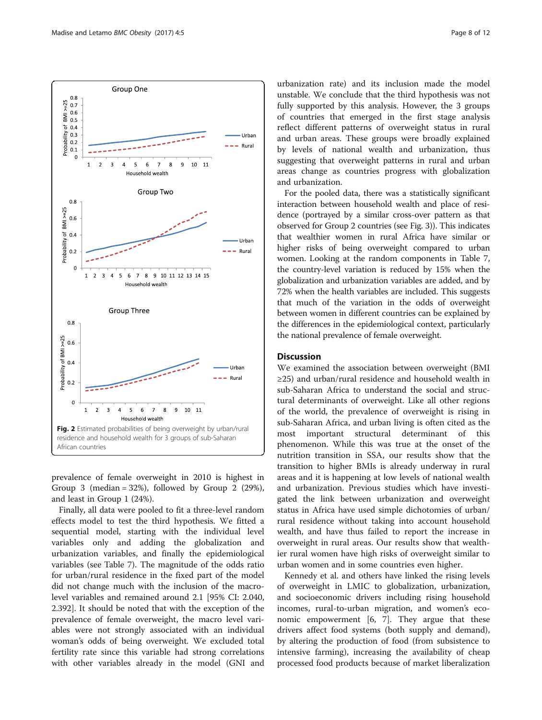<span id="page-7-0"></span>

prevalence of female overweight in 2010 is highest in Group 3 (median =  $32\%$ ), followed by Group 2 (29%), and least in Group 1 (24%).

Finally, all data were pooled to fit a three-level random effects model to test the third hypothesis. We fitted a sequential model, starting with the individual level variables only and adding the globalization and urbanization variables, and finally the epidemiological variables (see Table [7](#page-8-0)). The magnitude of the odds ratio for urban/rural residence in the fixed part of the model did not change much with the inclusion of the macrolevel variables and remained around 2.1 [95% CI: 2.040, 2.392]. It should be noted that with the exception of the prevalence of female overweight, the macro level variables were not strongly associated with an individual woman's odds of being overweight. We excluded total fertility rate since this variable had strong correlations with other variables already in the model (GNI and

urbanization rate) and its inclusion made the model unstable. We conclude that the third hypothesis was not fully supported by this analysis. However, the 3 groups of countries that emerged in the first stage analysis reflect different patterns of overweight status in rural and urban areas. These groups were broadly explained by levels of national wealth and urbanization, thus suggesting that overweight patterns in rural and urban areas change as countries progress with globalization and urbanization.

For the pooled data, there was a statistically significant interaction between household wealth and place of residence (portrayed by a similar cross-over pattern as that observed for Group 2 countries (see Fig. [3](#page-9-0))). This indicates that wealthier women in rural Africa have similar or higher risks of being overweight compared to urban women. Looking at the random components in Table [7](#page-8-0), the country-level variation is reduced by 15% when the globalization and urbanization variables are added, and by 72% when the health variables are included. This suggests that much of the variation in the odds of overweight between women in different countries can be explained by the differences in the epidemiological context, particularly the national prevalence of female overweight.

# Discussion

We examined the association between overweight (BMI ≥25) and urban/rural residence and household wealth in sub-Saharan Africa to understand the social and structural determinants of overweight. Like all other regions of the world, the prevalence of overweight is rising in sub-Saharan Africa, and urban living is often cited as the most important structural determinant of this phenomenon. While this was true at the onset of the nutrition transition in SSA, our results show that the transition to higher BMIs is already underway in rural areas and it is happening at low levels of national wealth and urbanization. Previous studies which have investigated the link between urbanization and overweight status in Africa have used simple dichotomies of urban/ rural residence without taking into account household wealth, and have thus failed to report the increase in overweight in rural areas. Our results show that wealthier rural women have high risks of overweight similar to urban women and in some countries even higher.

Kennedy et al. and others have linked the rising levels of overweight in LMIC to globalization, urbanization, and socioeconomic drivers including rising household incomes, rural-to-urban migration, and women's economic empowerment [\[6](#page-10-0), [7](#page-10-0)]. They argue that these drivers affect food systems (both supply and demand), by altering the production of food (from subsistence to intensive farming), increasing the availability of cheap processed food products because of market liberalization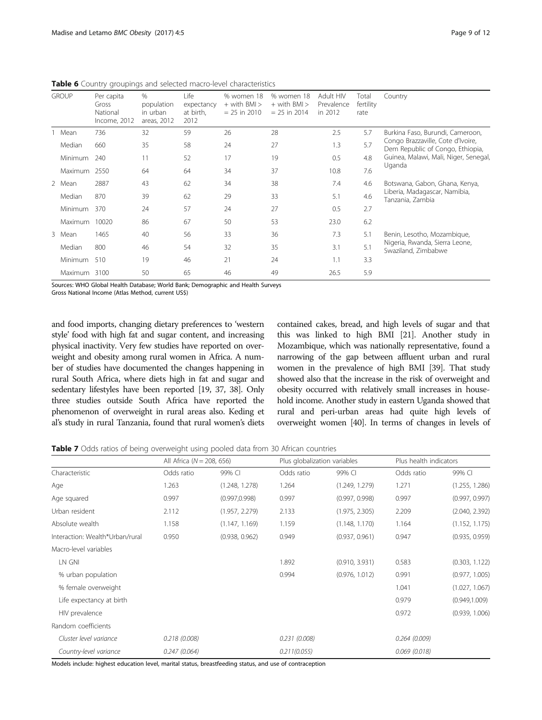| <b>GROUP</b> | Per capita<br>Gross<br>National<br>Income, 2012 | $\%$<br>population<br>in urban<br>areas, 2012 | Life<br>expectancy<br>at birth,<br>2012 | % women 18<br>$+$ with BMI $>$<br>$= 25$ in 2010 | % women 18<br>$+$ with BMI $>$<br>$= 25$ in 2014 | Adult HIV<br>Prevalence<br>in 2012 | Total<br>fertility<br>rate | Country                                                               |
|--------------|-------------------------------------------------|-----------------------------------------------|-----------------------------------------|--------------------------------------------------|--------------------------------------------------|------------------------------------|----------------------------|-----------------------------------------------------------------------|
| Mean         | 736                                             | 32                                            | 59                                      | 26                                               | 28                                               | 2.5                                | 5.7                        | Burkina Faso, Burundi, Cameroon,                                      |
| Median       | 660                                             | 35                                            | 58                                      | 24                                               | 27                                               | 1.3                                | 5.7                        | Congo Brazzaville, Cote d'Ivoire,<br>Dem Republic of Congo, Ethiopia, |
| Minimum      | 240                                             | 11                                            | 52                                      | 17                                               | 19                                               | 0.5                                | 4.8                        | Guinea, Malawi, Mali, Niger, Senegal,                                 |
| Maximum      | 2550                                            | 64                                            | 64                                      | 34                                               | 37                                               | 10.8                               | 7.6                        | Uganda                                                                |
| 2 Mean       | 2887                                            | 43                                            | 62                                      | 34                                               | 38                                               | 7.4                                | 4.6                        | Botswana, Gabon, Ghana, Kenya,                                        |
| Median       | 870                                             | 39                                            | 62                                      | 29                                               | 33                                               | 5.1                                | 4.6                        | Liberia, Madagascar, Namibia,<br>Tanzania, Zambia                     |
| Minimum      | 370                                             | 24                                            | 57                                      | 24                                               | 27                                               | 0.5                                | 2.7                        |                                                                       |
| Maximum      | 10020                                           | 86                                            | 67                                      | 50                                               | 53                                               | 23.0                               | 6.2                        |                                                                       |
| 3 Mean       | 1465                                            | 40                                            | 56                                      | 33                                               | 36                                               | 7.3                                | 5.1                        | Benin, Lesotho, Mozambique,                                           |
| Median       | 800                                             | 46                                            | 54                                      | 32                                               | 35                                               | 3.1                                | 5.1                        | Nigeria, Rwanda, Sierra Leone,<br>Swaziland, Zimbabwe                 |
| Minimum      | 510                                             | 19                                            | 46                                      | 21                                               | 24                                               | 1.1                                | 3.3                        |                                                                       |
| Maximum 3100 |                                                 | 50                                            | 65                                      | 46                                               | 49                                               | 26.5                               | 5.9                        |                                                                       |

<span id="page-8-0"></span>Table 6 Country groupings and selected macro-level characteristics

Sources: WHO Global Health Database; World Bank; Demographic and Health Surveys

Gross National Income (Atlas Method, current US\$)

and food imports, changing dietary preferences to 'western style' food with high fat and sugar content, and increasing physical inactivity. Very few studies have reported on overweight and obesity among rural women in Africa. A number of studies have documented the changes happening in rural South Africa, where diets high in fat and sugar and sedentary lifestyles have been reported [\[19](#page-10-0), [37](#page-11-0), [38\]](#page-11-0). Only three studies outside South Africa have reported the phenomenon of overweight in rural areas also. Keding et al's study in rural Tanzania, found that rural women's diets contained cakes, bread, and high levels of sugar and that this was linked to high BMI [[21](#page-10-0)]. Another study in Mozambique, which was nationally representative, found a narrowing of the gap between affluent urban and rural women in the prevalence of high BMI [[39](#page-11-0)]. That study showed also that the increase in the risk of overweight and obesity occurred with relatively small increases in household income. Another study in eastern Uganda showed that rural and peri-urban areas had quite high levels of overweight women [\[40\]](#page-11-0). In terms of changes in levels of

Table 7 Odds ratios of being overweight using pooled data from 30 African countries

|                                 |              | All Africa ( $N = 208, 656$ ) |              | Plus globalization variables |              | Plus health indicators |  |
|---------------------------------|--------------|-------------------------------|--------------|------------------------------|--------------|------------------------|--|
| Characteristic                  | Odds ratio   | 99% CI                        | Odds ratio   | 99% CI                       | Odds ratio   | 99% CI                 |  |
| Age                             | 1.263        | (1.248, 1.278)                | 1.264        | (1.249, 1.279)               | 1.271        | (1.255, 1.286)         |  |
| Age squared                     | 0.997        | (0.997, 0.998)                | 0.997        | (0.997, 0.998)               | 0.997        | (0.997, 0.997)         |  |
| Urban resident                  | 2.112        | (1.957, 2.279)                | 2.133        | (1.975, 2.305)               | 2.209        | (2.040, 2.392)         |  |
| Absolute wealth                 | 1.158        | (1.147, 1.169)                | 1.159        | (1.148, 1.170)               | 1.164        | (1.152, 1.175)         |  |
| Interaction: Wealth*Urban/rural | 0.950        | (0.938, 0.962)                | 0.949        | (0.937, 0.961)               | 0.947        | (0.935, 0.959)         |  |
| Macro-level variables           |              |                               |              |                              |              |                        |  |
| LN GNI                          |              |                               | 1.892        | (0.910, 3.931)               | 0.583        | (0.303, 1.122)         |  |
| % urban population              |              |                               | 0.994        | (0.976, 1.012)               | 0.991        | (0.977, 1.005)         |  |
| % female overweight             |              |                               |              |                              | 1.041        | (1.027, 1.067)         |  |
| Life expectancy at birth        |              |                               |              |                              | 0.979        | (0.949, 1.009)         |  |
| HIV prevalence                  |              |                               |              |                              | 0.972        | (0.939, 1.006)         |  |
| Random coefficients             |              |                               |              |                              |              |                        |  |
| Cluster level variance          | 0.218(0.008) |                               | 0.231(0.008) |                              | 0.264(0.009) |                        |  |
| Country-level variance          | 0.247(0.064) |                               | 0.211(0.055) |                              | 0.069(0.018) |                        |  |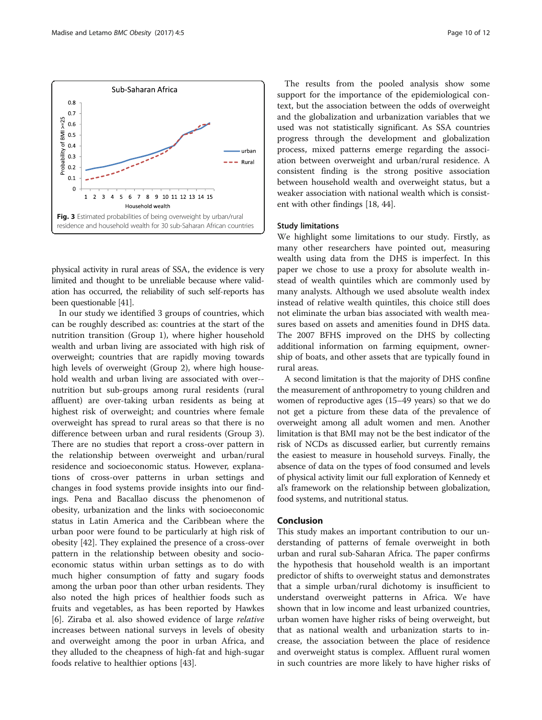physical activity in rural areas of SSA, the evidence is very limited and thought to be unreliable because where validation has occurred, the reliability of such self-reports has been questionable [[41](#page-11-0)].

In our study we identified 3 groups of countries, which can be roughly described as: countries at the start of the nutrition transition (Group 1), where higher household wealth and urban living are associated with high risk of overweight; countries that are rapidly moving towards high levels of overweight (Group 2), where high household wealth and urban living are associated with over- nutrition but sub-groups among rural residents (rural affluent) are over-taking urban residents as being at highest risk of overweight; and countries where female overweight has spread to rural areas so that there is no difference between urban and rural residents (Group 3). There are no studies that report a cross-over pattern in the relationship between overweight and urban/rural residence and socioeconomic status. However, explanations of cross-over patterns in urban settings and changes in food systems provide insights into our findings. Pena and Bacallao discuss the phenomenon of obesity, urbanization and the links with socioeconomic status in Latin America and the Caribbean where the urban poor were found to be particularly at high risk of obesity [\[42](#page-11-0)]. They explained the presence of a cross-over pattern in the relationship between obesity and socioeconomic status within urban settings as to do with much higher consumption of fatty and sugary foods among the urban poor than other urban residents. They also noted the high prices of healthier foods such as fruits and vegetables, as has been reported by Hawkes [[6\]](#page-10-0). Ziraba et al. also showed evidence of large relative increases between national surveys in levels of obesity and overweight among the poor in urban Africa, and they alluded to the cheapness of high-fat and high-sugar foods relative to healthier options [[43\]](#page-11-0).

The results from the pooled analysis show some support for the importance of the epidemiological context, but the association between the odds of overweight and the globalization and urbanization variables that we used was not statistically significant. As SSA countries progress through the development and globalization process, mixed patterns emerge regarding the association between overweight and urban/rural residence. A consistent finding is the strong positive association between household wealth and overweight status, but a weaker association with national wealth which is consistent with other findings [[18,](#page-10-0) [44](#page-11-0)].

## Study limitations

We highlight some limitations to our study. Firstly, as many other researchers have pointed out, measuring wealth using data from the DHS is imperfect. In this paper we chose to use a proxy for absolute wealth instead of wealth quintiles which are commonly used by many analysts. Although we used absolute wealth index instead of relative wealth quintiles, this choice still does not eliminate the urban bias associated with wealth measures based on assets and amenities found in DHS data. The 2007 BFHS improved on the DHS by collecting additional information on farming equipment, ownership of boats, and other assets that are typically found in rural areas.

A second limitation is that the majority of DHS confine the measurement of anthropometry to young children and women of reproductive ages (15–49 years) so that we do not get a picture from these data of the prevalence of overweight among all adult women and men. Another limitation is that BMI may not be the best indicator of the risk of NCDs as discussed earlier, but currently remains the easiest to measure in household surveys. Finally, the absence of data on the types of food consumed and levels of physical activity limit our full exploration of Kennedy et al's framework on the relationship between globalization, food systems, and nutritional status.

## Conclusion

This study makes an important contribution to our understanding of patterns of female overweight in both urban and rural sub-Saharan Africa. The paper confirms the hypothesis that household wealth is an important predictor of shifts to overweight status and demonstrates that a simple urban/rural dichotomy is insufficient to understand overweight patterns in Africa. We have shown that in low income and least urbanized countries, urban women have higher risks of being overweight, but that as national wealth and urbanization starts to increase, the association between the place of residence and overweight status is complex. Affluent rural women in such countries are more likely to have higher risks of

<span id="page-9-0"></span>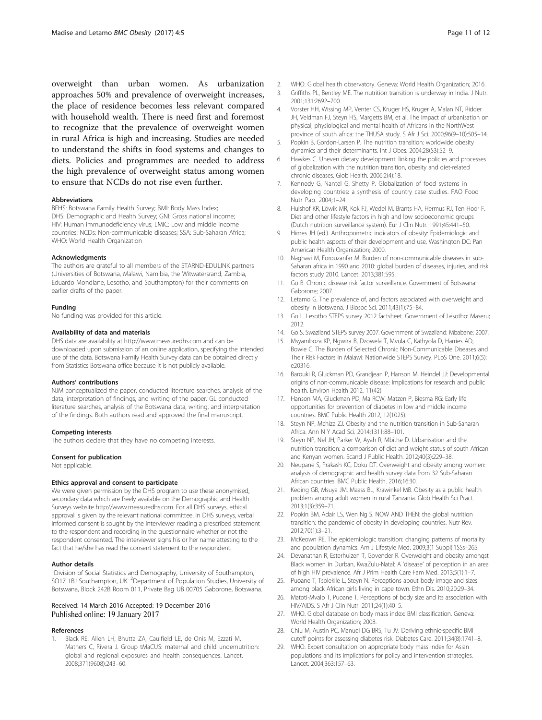<span id="page-10-0"></span>overweight than urban women. As urbanization approaches 50% and prevalence of overweight increases, the place of residence becomes less relevant compared with household wealth. There is need first and foremost to recognize that the prevalence of overweight women in rural Africa is high and increasing. Studies are needed to understand the shifts in food systems and changes to diets. Policies and programmes are needed to address the high prevalence of overweight status among women to ensure that NCDs do not rise even further.

#### Abbreviations

BFHS: Botswana Family Health Survey; BMI: Body Mass Index; DHS: Demographic and Health Survey; GNI: Gross national income; HIV: Human immunodeficiency virus; LMIC: Low and middle income countries; NCDs: Non-communicable diseases; SSA: Sub-Saharan Africa; WHO: World Health Organization

#### Acknowledgments

The authors are grateful to all members of the STARND-EDULINK partners (Universities of Botswana, Malawi, Namibia, the Witwatersrand, Zambia, Eduardo Mondlane, Lesotho, and Southampton) for their comments on earlier drafts of the paper.

#### Funding

No funding was provided for this article.

#### Availability of data and materials

DHS data are availability at [http://www.measuredhs.com](http://www.measuredhs.com/) and can be downloaded upon submission of an online application, specifying the intended use of the data. Botswana Family Health Survey data can be obtained directly from Statistics Botswana office because it is not publicly available.

#### Authors' contributions

NJM conceptualized the paper, conducted literature searches, analysis of the data, interpretation of findings, and writing of the paper. GL conducted literature searches, analysis of the Botswana data, writing, and interpretation of the findings. Both authors read and approved the final manuscript.

## Competing interests

The authors declare that they have no competing interests.

#### Consent for publication

Not applicable.

#### Ethics approval and consent to participate

We were given permission by the DHS program to use these anonymised, secondary data which are freely available on the Demographic and Health Surveys website [http://www.measuredhs.com](http://www.measuredhs.com/). For all DHS surveys, ethical approval is given by the relevant national committee. In DHS surveys, verbal informed consent is sought by the interviewer reading a prescribed statement to the respondent and recording in the questionnaire whether or not the respondent consented. The interviewer signs his or her name attesting to the fact that he/she has read the consent statement to the respondent.

## Author details

<sup>1</sup> Division of Social Statistics and Demography, University of Southampton, SO17 1BJ Southampton, UK. <sup>2</sup>Department of Population Studies, University of Botswana, Block 242B Room 011, Private Bag UB 00705 Gaborone, Botswana.

#### Received: 14 March 2016 Accepted: 19 December 2016 Published online: 19 January 2017

## References

Black RE, Allen LH, Bhutta ZA, Caulfield LE, de Onis M, Ezzati M, Mathers C, Rivera J. Group tMaCUS: maternal and child undernutrition: global and regional exposures and health consequences. Lancet. 2008;371(9608):243–60.

- 2. WHO. Global health observatory. Geneva: World Health Organization; 2016.
- 3. Griffiths PL, Bentley ME. The nutrition transition is underway in India. J Nutr. 2001;131:2692–700.
- 4. Vorster HH, Wissing MP, Venter CS, Kruger HS, Kruger A, Malan NT, Ridder JH, Veldman FJ, Steyn HS, Margetts BM, et al. The impact of urbanisation on physical, physiological and mental health of Africans in the NorthWest province of south africa: the THUSA study. S Afr J Sci. 2000;96(9–10):505–14.
- 5. Popkin B, Gordon-Larsen P. The nutrition transition: worldwide obesity dynamics and their determinants. Int J Obes. 2004;28(S3):S2–9.
- 6. Hawkes C. Uneven dietary development: linking the policies and processes of globalization with the nutrition transition, obesity and diet-related chronic diseases. Glob Health. 2006;2(4):18.
- 7. Kennedy G, Nantel G, Shetty P. Globalization of food systems in developing countries: a synthesis of country case studies. FAO Food Nutr Pap. 2004;1–24.
- 8. Hulshof KR, Löwik MR, Kok FJ, Wedel M, Brants HA, Hermus RJ, Ten Hoor F. Diet and other lifestyle factors in high and low socioeconomic groups (Dutch nutrition surveillance system). Eur J Clin Nutr. 1991;45:441–50.
- 9. Himes JH (ed.). Anthropometric indicators of obesity: Epidemiologic and public health aspects of their development and use. Washington DC: Pan American Health Organization; 2000.
- 10. Naghavi M, Forouzanfar M. Burden of non-communicable diseases in sub-Saharan africa in 1990 and 2010: global burden of diseases, injuries, and risk factors study 2010. Lancet. 2013;381:S95.
- 11. Go B. Chronic disease risk factor surveillance. Government of Botswana: Gaborone; 2007.
- 12. Letamo G. The prevalence of, and factors associated with overweight and obesity in Botswana. J Biosoc Sci. 2011;43(1):75–84.
- 13. Go L. Lesotho STEPS survey 2012 factsheet. Government of Lesotho: Maseru; 2012.
- 14. Go S. Swaziland STEPS survey 2007. Government of Swaziland: Mbabane; 2007.
- 15. Msyamboza KP, Ngwira B, Dzowela T, Mvula C, Kathyola D, Harries AD, Bowie C. The Burden of Selected Chronic Non-Communicable Diseases and Their Risk Factors in Malawi: Nationwide STEPS Survey. PLoS One. 2011;6(5): e20316.
- 16. Barouki R, Gluckman PD, Grandjean P, Hanson M, Heindel JJ: Developmental origins of non-communicable disease: Implications for research and public health. Environ Health 2012, 11(42).
- 17. Hanson MA, Gluckman PD, Ma RCW, Matzen P, Biesma RG: Early life opportunities for prevention of diabetes in low and middle income countries. BMC Public Health 2012, 12(1025).
- 18. Steyn NP, Mchiza ZJ. Obesity and the nutrition transition in Sub-Saharan Africa. Ann N Y Acad Sci. 2014;1311:88–101.
- 19. Steyn NP, Nel JH, Parker W, Ayah R, Mbithe D. Urbanisation and the nutrition transition: a comparison of diet and weight status of south African and Kenyan women. Scand J Public Health. 2012;40(3):229–38.
- 20. Neupane S, Prakash KC, Doku DT. Overweight and obesity among women: analysis of demographic and health survey data from 32 Sub-Saharan African countries. BMC Public Health. 2016;16:30.
- 21. Keding GB, Msuya JM, Maass BL, Krawinkel MB. Obesity as a public health problem among adult women in rural Tanzania. Glob Health Sci Pract. 2013;1(3):359–71.
- 22. Popkin BM, Adair LS, Wen Ng S. NOW AND THEN: the global nutrition transition: the pandemic of obesity in developing countries. Nutr Rev. 2012;70(1):3–21.
- 23. McKeown RE. The epidemiologic transition: changing patterns of mortality and population dynamics. Am J Lifestyle Med. 2009;3(1 Suppl):1SSs–26S.
- 24. Devanathan R, Esterhuizen T, Govender R. Overweight and obesity amongst Black women in Durban, KwaZulu-Natal: A 'disease' of perception in an area of high HIV prevalence. Afr J Prim Health Care Fam Med. 2013;5(1):1–7.
- 25. Puoane T, Tsolekile L, Steyn N. Perceptions about body image and sizes among black African girls living in cape town. Ethn Dis. 2010;20:29–34.
- 26. Matoti-Mvalo T, Puoane T. Perceptions of body size and its association with HIV/AIDS. S Afr J Clin Nutr. 2011;24(1):40–5.
- 27. WHO. Global database on body mass index: BMI classification. Geneva: World Health Organization: 2008.
- 28. Chiu M, Austin PC, Manuel DG BRS, Tu JV. Deriving ethnic-specific BMI cutoff points for assessing diabetes risk. Diabetes Care. 2011;34(8):1741–8.
- 29. WHO. Expert consultation on appropriate body mass index for Asian populations and its implications for policy and intervention strategies. Lancet. 2004;363:157–63.